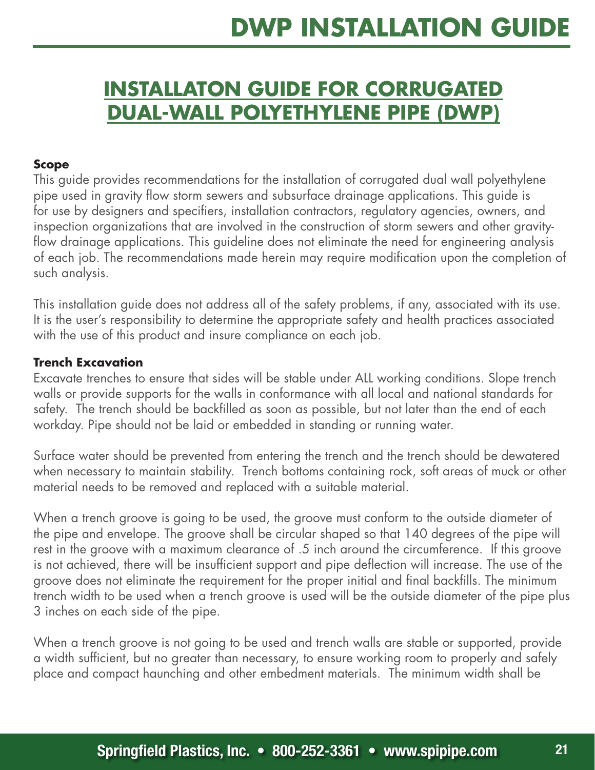## **DWP Installation Guide**

## **INSTALLATON GUIDE FOR CORRUGATED Dual-wall POLYETHYLENE PIPE (DWP)**

## **Scope**

This guide provides recommendations for the installation of corrugated dual wall polyethylene pipe used in gravity flow storm sewers and subsurface drainage applications. This guide is for use by designers and specifiers, installation contractors, regulatory agencies, owners, and inspection organizations that are involved in the construction of storm sewers and other gravityflow drainage applications. This guideline does not eliminate the need for engineering analysis of each job. The recommendations made herein may require modification upon the completion of such analysis.

This installation guide does not address all of the safety problems, if any, associated with its use. It is the user's responsibility to determine the appropriate safety and health practices associated with the use of this product and insure compliance on each job.

## **Trench Excavation**

Excavate trenches to ensure that sides will be stable under ALL working conditions. Slope trench walls or provide supports for the walls in conformance with all local and national standards for safety. The trench should be backfilled as soon as possible, but not later than the end of each workday. Pipe should not be laid or embedded in standing or running water.

Surface water should be prevented from entering the trench and the trench should be dewatered when necessary to maintain stability. Trench bottoms containing rock, soft areas of muck or other material needs to be removed and replaced with a suitable material.

When a trench groove is going to be used, the groove must conform to the outside diameter of the pipe and envelope. The groove shall be circular shaped so that 140 degrees of the pipe will rest in the groove with a maximum clearance of .5 inch around the circumference. If this groove is not achieved, there will be insufficient support and pipe deflection will increase. The use of the groove does not eliminate the requirement for the proper initial and final backfills. The minimum trench width to be used when a trench groove is used will be the outside diameter of the pipe plus 3 inches on each side of the pipe.

When a trench groove is not going to be used and trench walls are stable or supported, provide a width sufficient, but no greater than necessary, to ensure working room to properly and safely place and compact haunching and other embedment materials. The minimum width shall be